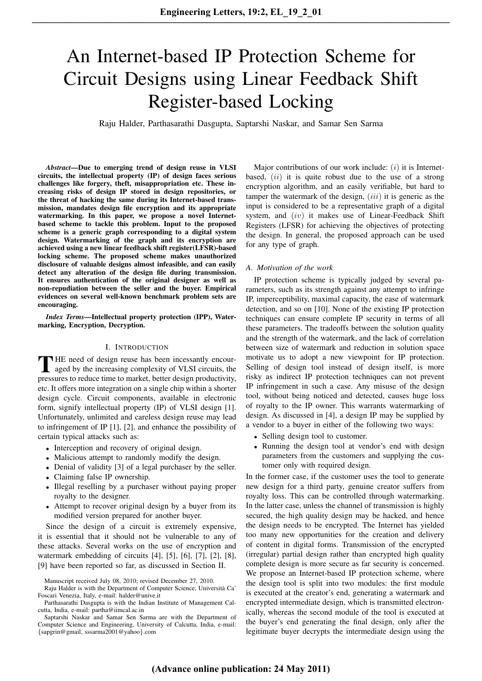# An Internet-based IP Protection Scheme for Circuit Designs using Linear Feedback Shift Register-based Locking

Raju Halder, Parthasarathi Dasgupta, Saptarshi Naskar, and Samar Sen Sarma

*Abstract*—Due to emerging trend of design reuse in VLSI circuits, the intellectual property (IP) of design faces serious challenges like forgery, theft, misappropriation etc. These increasing risks of design IP stored in design repositories, or the threat of hacking the same during its Internet-based transmission, mandates design file encryption and its appropriate watermarking. In this paper, we propose a novel Internetbased scheme to tackle this problem. Input to the proposed scheme is a generic graph corresponding to a digital system design. Watermarking of the graph and its encryption are achieved using a new linear feedback shift register(LFSR)-based locking scheme. The proposed scheme makes unauthorized disclosure of valuable designs almost infeasible, and can easily detect any alteration of the design file during transmission. It ensures authentication of the original designer as well as non-repudiation between the seller and the buyer. Empirical evidences on several well-known benchmark problem sets are encouraging.

*Index Terms*—Intellectual property protection (IPP), Watermarking, Encryption, Decryption.

#### I. INTRODUCTION

THE need of design reuse has been incessantly encouraged by the increasing complexity of VLSI circuits, the pressures to reduce time to market, better design productivity, THE need of design reuse has been incessantly encouraged by the increasing complexity of VLSI circuits, the etc. It offers more integration on a single chip within a shorter design cycle. Circuit components, available in electronic form, signify intellectual property (IP) of VLSI design [1]. Unfortunately, unlimited and careless design reuse may lead to infringement of IP [1], [2], and enhance the possibility of certain typical attacks such as:

- Interception and recovery of original design.
- Malicious attempt to randomly modify the design.
- Denial of validity [3] of a legal purchaser by the seller.
- Claiming false IP ownership.
- Illegal reselling by a purchaser without paying proper royalty to the designer.
- Attempt to recover original design by a buyer from its modified version prepared for another buyer.

Since the design of a circuit is extremely expensive, it is essential that it should not be vulnerable to any of these attacks. Several works on the use of encryption and watermark embedding of circuits [4], [5], [6], [7], [2], [8], [9] have been reported so far, as discussed in Section II.

Major contributions of our work include:  $(i)$  it is Internetbased,  $(ii)$  it is quite robust due to the use of a strong encryption algorithm, and an easily verifiable, but hard to tamper the watermark of the design,  $(iii)$  it is generic as the input is considered to be a representative graph of a digital system, and  $(iv)$  it makes use of Linear-Feedback Shift Registers (LFSR) for achieving the objectives of protecting the design. In general, the proposed approach can be used for any type of graph.

#### *A. Motivation of the work*

IP protection scheme is typically judged by several parameters, such as its strength against any attempt to infringe IP, imperceptibility, maximal capacity, the ease of watermark detection, and so on [10]. None of the existing IP protection techniques can ensure complete IP security in terms of all these parameters. The tradeoffs between the solution quality and the strength of the watermark, and the lack of correlation between size of watermark and reduction in solution space motivate us to adopt a new viewpoint for IP protection. Selling of design tool instead of design itself, is more risky as indirect IP protection techniques can not prevent IP infringement in such a case. Any misuse of the design tool, without being noticed and detected, causes huge loss of royalty to the IP owner. This warrants watermarking of design. As discussed in [4], a design IP may be supplied by a vendor to a buyer in either of the following two ways:

- Selling design tool to customer.
- Running the design tool at vendor's end with design parameters from the customers and supplying the customer only with required design.

In the former case, if the customer uses the tool to generate new design for a third party, genuine creator suffers from royalty loss. This can be controlled through watermarking. In the latter case, unless the channel of transmission is highly secured, the high quality design may be hacked, and hence the design needs to be encrypted. The Internet has yielded too many new opportunities for the creation and delivery of content in digital forms. Transmission of the encrypted (irregular) partial design rather than encrypted high quality complete design is more secure as far security is concerned. We propose an Internet-based IP protection scheme, where the design tool is split into two modules: the first module is executed at the creator's end, generating a watermark and encrypted intermediate design, which is transmitted electronically, whereas the second module of the tool is executed at the buyer's end generating the final design, only after the legitimate buyer decrypts the intermediate design using the

Manuscript received July 08, 2010; revised December 27, 2010.

Raju Halder is with the Department of Computer Science, Universita Ca' ` Foscari Venezia, Italy, e-mail: halder@unive.it

Parthasarathi Dasgupta is with the Indian Institute of Management Calcutta, India, e-mail: partha@iimcal.ac.in

Saptarshi Naskar and Samar Sen Sarma are with the Department of Computer Science and Engineering, University of Calcutta, India, e-mail: {sapgrin@gmail, sssarma2001@yahoo}.com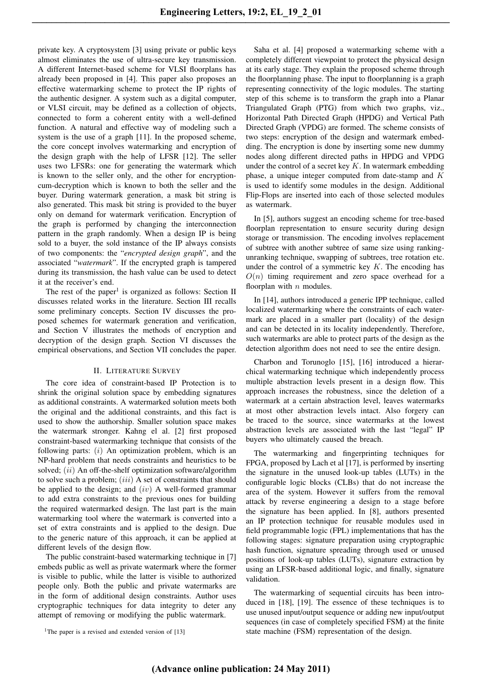private key. A cryptosystem [3] using private or public keys almost eliminates the use of ultra-secure key transmission. A different Internet-based scheme for VLSI floorplans has already been proposed in [4]. This paper also proposes an effective watermarking scheme to protect the IP rights of the authentic designer. A system such as a digital computer, or VLSI circuit, may be defined as a collection of objects, connected to form a coherent entity with a well-defined function. A natural and effective way of modeling such a system is the use of a graph [11]. In the proposed scheme, the core concept involves watermarking and encryption of the design graph with the help of LFSR [12]. The seller uses two LFSRs: one for generating the watermark which is known to the seller only, and the other for encryptioncum-decryption which is known to both the seller and the buyer. During watermark generation, a mask bit string is also generated. This mask bit string is provided to the buyer only on demand for watermark verification. Encryption of the graph is performed by changing the interconnection pattern in the graph randomly. When a design IP is being sold to a buyer, the sold instance of the IP always consists of two components: the "*encrypted design graph*", and the associated "*watermark*". If the encrypted graph is tampered during its transmission, the hash value can be used to detect it at the receiver's end.

The rest of the paper<sup>1</sup> is organized as follows: Section II discusses related works in the literature. Section III recalls some preliminary concepts. Section IV discusses the proposed schemes for watermark generation and verification, and Section V illustrates the methods of encryption and decryption of the design graph. Section VI discusses the empirical observations, and Section VII concludes the paper.

#### II. LITERATURE SURVEY

The core idea of constraint-based IP Protection is to shrink the original solution space by embedding signatures as additional constraints. A watermarked solution meets both the original and the additional constraints, and this fact is used to show the authorship. Smaller solution space makes the watermark stronger. Kahng el al. [2] first proposed constraint-based watermarking technique that consists of the following parts:  $(i)$  An optimization problem, which is an NP-hard problem that needs constraints and heuristics to be solved; (ii) An off-the-shelf optimization software/algorithm to solve such a problem;  $(iii)$  A set of constraints that should be applied to the design; and  $(iv)$  A well-formed grammar to add extra constraints to the previous ones for building the required watermarked design. The last part is the main watermarking tool where the watermark is converted into a set of extra constraints and is applied to the design. Due to the generic nature of this approach, it can be applied at different levels of the design flow.

The public constraint-based watermarking technique in [7] embeds public as well as private watermark where the former is visible to public, while the latter is visible to authorized people only. Both the public and private watermarks are in the form of additional design constraints. Author uses cryptographic techniques for data integrity to deter any attempt of removing or modifying the public watermark.

<sup>1</sup>The paper is a revised and extended version of [13]

Saha et al. [4] proposed a watermarking scheme with a completely different viewpoint to protect the physical design at its early stage. They explain the proposed scheme through the floorplanning phase. The input to floorplanning is a graph representing connectivity of the logic modules. The starting step of this scheme is to transform the graph into a Planar Triangulated Graph (PTG) from which two graphs, viz., Horizontal Path Directed Graph (HPDG) and Vertical Path Directed Graph (VPDG) are formed. The scheme consists of two steps: encryption of the design and watermark embedding. The encryption is done by inserting some new dummy nodes along different directed paths in HPDG and VPDG under the control of a secret key  $K$ . In watermark embedding phase, a unique integer computed from date-stamp and K is used to identify some modules in the design. Additional Flip-Flops are inserted into each of those selected modules as watermark.

In [5], authors suggest an encoding scheme for tree-based floorplan representation to ensure security during design storage or transmission. The encoding involves replacement of subtree with another subtree of same size using rankingunranking technique, swapping of subtrees, tree rotation etc. under the control of a symmetric key  $K$ . The encoding has  $O(n)$  timing requirement and zero space overhead for a floorplan with  $n$  modules.

In [14], authors introduced a generic IPP technique, called localized watermarking where the constraints of each watermark are placed in a smaller part (locality) of the design and can be detected in its locality independently. Therefore, such watermarks are able to protect parts of the design as the detection algorithm does not need to see the entire design.

Charbon and Torunoglo [15], [16] introduced a hierarchical watermarking technique which independently process multiple abstraction levels present in a design flow. This approach increases the robustness, since the deletion of a watermark at a certain abstraction level, leaves watermarks at most other abstraction levels intact. Also forgery can be traced to the source, since watermarks at the lowest abstraction levels are associated with the last "legal" IP buyers who ultimately caused the breach.

The watermarking and fingerprinting techniques for FPGA, proposed by Lach et al [17], is performed by inserting the signature in the unused look-up tables (LUTs) in the configurable logic blocks (CLBs) that do not increase the area of the system. However it suffers from the removal attack by reverse engineering a design to a stage before the signature has been applied. In [8], authors presented an IP protection technique for reusable modules used in field programmable logic (FPL) implementations that has the following stages: signature preparation using cryptographic hash function, signature spreading through used or unused positions of look-up tables (LUTs), signature extraction by using an LFSR-based additional logic, and finally, signature validation.

The watermarking of sequential circuits has been introduced in [18], [19]. The essence of these techniques is to use unused input/output sequence or adding new input/output sequences (in case of completely specified FSM) at the finite state machine (FSM) representation of the design.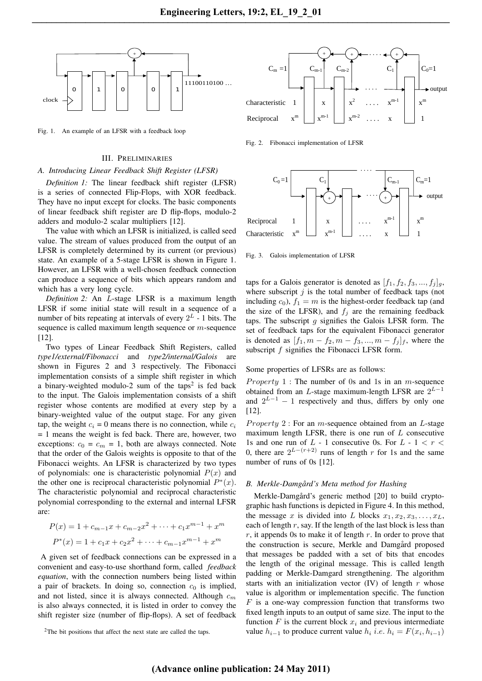

Fig. 1. An example of an LFSR with a feedback loop

#### III. PRELIMINARIES

#### *A. Introducing Linear Feedback Shift Register (LFSR)*

*Definition 1:* The linear feedback shift register (LFSR) is a series of connected Flip-Flops, with XOR feedback. They have no input except for clocks. The basic components of linear feedback shift register are D flip-flops, modulo-2 adders and modulo-2 scalar multipliers [12].

The value with which an LFSR is initialized, is called seed value. The stream of values produced from the output of an LFSR is completely determined by its current (or previous) state. An example of a 5-stage LFSR is shown in Figure 1. However, an LFSR with a well-chosen feedback connection can produce a sequence of bits which appears random and which has a very long cycle.

*Definition 2:* An L-stage LFSR is a maximum length LFSR if some initial state will result in a sequence of a number of bits repeating at intervals of every  $2^L$  - 1 bits. The sequence is called maximum length sequence or *m*-sequence [12].

Two types of Linear Feedback Shift Registers, called *type1/external/Fibonacci* and *type2/internal/Galois* are shown in Figures 2 and 3 respectively. The Fibonacci implementation consists of a simple shift register in which a binary-weighted modulo-2 sum of the taps<sup>2</sup> is fed back to the input. The Galois implementation consists of a shift register whose contents are modified at every step by a binary-weighted value of the output stage. For any given tap, the weight  $c_i = 0$  means there is no connection, while  $c_i$  $= 1$  means the weight is fed back. There are, however, two exceptions:  $c_0 = c_m = 1$ , both are always connected. Note that the order of the Galois weights is opposite to that of the Fibonacci weights. An LFSR is characterized by two types of polynomials: one is characteristic polynomial  $P(x)$  and the other one is reciprocal characteristic polynomial  $P^*(x)$ . The characteristic polynomial and reciprocal characteristic polynomial corresponding to the external and internal LFSR are:

$$
P(x) = 1 + c_{m-1}x + c_{m-2}x^{2} + \dots + c_{1}x^{m-1} + x^{m}
$$

$$
P^{*}(x) = 1 + c_{1}x + c_{2}x^{2} + \dots + c_{m-1}x^{m-1} + x^{m}
$$

A given set of feedback connections can be expressed in a convenient and easy-to-use shorthand form, called *feedback equation*, with the connection numbers being listed within a pair of brackets. In doing so, connection  $c_0$  is implied, and not listed, since it is always connected. Although  $c_m$ is also always connected, it is listed in order to convey the shift register size (number of flip-flops). A set of feedback



Fig. 2. Fibonacci implementation of LFSR



Fig. 3. Galois implementation of LFSR

taps for a Galois generator is denoted as  $[f_1, f_2, f_3, ..., f_j]_q$ , where subscript  $j$  is the total number of feedback taps (not including  $c_0$ ),  $f_1 = m$  is the highest-order feedback tap (and the size of the LFSR), and  $f_j$  are the remaining feedback taps. The subscript  $g$  signifies the Galois LFSR form. The set of feedback taps for the equivalent Fibonacci generator is denoted as  $[f_1, m - f_2, m - f_3, ..., m - f_i]_f$ , where the subscript f signifies the Fibonacci LFSR form.

## Some properties of LFSRs are as follows:

*Property* 1 : The number of 0s and 1s in an *m*-sequence obtained from an L-stage maximum-length LFSR are  $2^{L-1}$ and  $2^{L-1} - 1$  respectively and thus, differs by only one [12].

*Property* 2 : For an *m*-sequence obtained from an *L*-stage maximum length LFSR, there is one run of  $L$  consecutive 1s and one run of  $L - 1$  consecutive 0s. For  $L - 1 < r <$ 0, there are  $2^{L-(r+2)}$  runs of length r for 1s and the same number of runs of 0s [12].

# *B. Merkle-Damgard's Meta method for Hashing ˚*

Merkle-Damgård's generic method [20] to build cryptographic hash functions is depicted in Figure 4. In this method, the message x is divided into L blocks  $x_1, x_2, x_3, \ldots, x_L$ , each of length  $r$ , say. If the length of the last block is less than  $r$ , it appends 0s to make it of length  $r$ . In order to prove that the construction is secure, Merkle and Damgård proposed that messages be padded with a set of bits that encodes the length of the original message. This is called length padding or Merkle-Damgard strengthening. The algorithm starts with an initialization vector  $(IV)$  of length r whose value is algorithm or implementation specific. The function  $F$  is a one-way compression function that transforms two fixed length inputs to an output of same size. The input to the function  $F$  is the current block  $x_i$  and previous intermediate value  $h_{i-1}$  to produce current value  $h_i$  *i.e.*  $h_i = F(x_i, h_{i-1})$ 

<sup>2</sup>The bit positions that affect the next state are called the taps.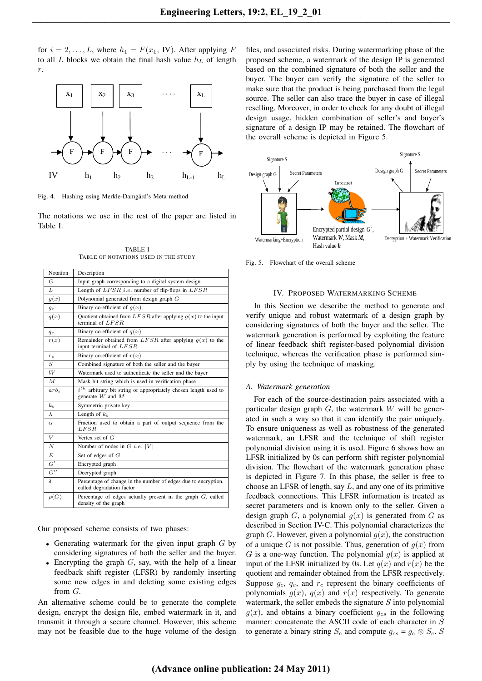for  $i = 2, \ldots, L$ , where  $h_1 = F(x_1, IV)$ . After applying F to all L blocks we obtain the final hash value  $h<sub>L</sub>$  of length r.



Fig. 4. Hashing using Merkle-Damgård's Meta method

The notations we use in the rest of the paper are listed in Table I.

TABLE I TABLE OF NOTATIONS USED IN THE STUDY

| <b>Notation</b>    | Description                                                                                 |  |  |  |  |
|--------------------|---------------------------------------------------------------------------------------------|--|--|--|--|
| G                  | Input graph corresponding to a digital system design                                        |  |  |  |  |
| L                  | Length of $LFSR$ <i>i.e.</i> number of flip-flops in $LFSR$                                 |  |  |  |  |
| g(x)               | Polynomial generated from design graph $G$                                                  |  |  |  |  |
| $g_c$              | Binary co-efficient of $q(x)$                                                               |  |  |  |  |
| q(x)               | Quotient obtained from $LFSR$ after applying $q(x)$ to the input<br>terminal of $LFSR$      |  |  |  |  |
| $q_c$              | Binary co-efficient of $q(x)$                                                               |  |  |  |  |
| r(x)               | Remainder obtained from LFSR after applying $q(x)$ to the<br>input terminal of $LFSR$       |  |  |  |  |
| $r_c$              | Binary co-efficient of $r(x)$                                                               |  |  |  |  |
| $\boldsymbol{S}$   | Combined signature of both the seller and the buyer                                         |  |  |  |  |
| W                  | Watermark used to authenticate the seller and the buyer                                     |  |  |  |  |
| $\overline{M}$     | Mask bit string which is used in verification phase                                         |  |  |  |  |
| $arb_i$            | $ith$ arbitrary bit string of appropriately chosen length used to<br>generate $W$ and $M$   |  |  |  |  |
| k <sub>b</sub>     | Symmetric private key                                                                       |  |  |  |  |
| $\lambda$          | Length of $k_b$                                                                             |  |  |  |  |
| $\alpha$           | Fraction used to obtain a part of output sequence from the<br>LFSR                          |  |  |  |  |
| $\boldsymbol{V}$   | Vertex set of $G$                                                                           |  |  |  |  |
| $\boldsymbol{N}$   | Number of nodes in $G$ <i>i.e.</i> $ V $                                                    |  |  |  |  |
| E                  | Set of edges of $G$                                                                         |  |  |  |  |
| G'                 | Encrypted graph                                                                             |  |  |  |  |
| $G^{\prime\prime}$ | Decrypted graph                                                                             |  |  |  |  |
| $\delta$           | Percentage of change in the number of edges due to encryption,<br>called degradation factor |  |  |  |  |
| $\rho(G)$          | Percentage of edges actually present in the graph $G$ , called<br>density of the graph      |  |  |  |  |

Our proposed scheme consists of two phases:

- Generating watermark for the given input graph  $G$  by considering signatures of both the seller and the buyer.
- Encrypting the graph  $G$ , say, with the help of a linear feedback shift register (LFSR) by randomly inserting some new edges in and deleting some existing edges from G.

An alternative scheme could be to generate the complete design, encrypt the design file, embed watermark in it, and transmit it through a secure channel. However, this scheme may not be feasible due to the huge volume of the design files, and associated risks. During watermarking phase of the proposed scheme, a watermark of the design IP is generated based on the combined signature of both the seller and the buyer. The buyer can verify the signature of the seller to make sure that the product is being purchased from the legal source. The seller can also trace the buyer in case of illegal reselling. Moreover, in order to check for any doubt of illegal design usage, hidden combination of seller's and buyer's signature of a design IP may be retained. The flowchart of the overall scheme is depicted in Figure 5.



Fig. 5. Flowchart of the overall scheme

# IV. PROPOSED WATERMARKING SCHEME

In this Section we describe the method to generate and verify unique and robust watermark of a design graph by considering signatures of both the buyer and the seller. The watermark generation is performed by exploiting the feature of linear feedback shift register-based polynomial division technique, whereas the verification phase is performed simply by using the technique of masking.

# *A. Watermark generation*

For each of the source-destination pairs associated with a particular design graph  $G$ , the watermark  $W$  will be generated in such a way so that it can identify the pair uniquely. To ensure uniqueness as well as robustness of the generated watermark, an LFSR and the technique of shift register polynomial division using it is used. Figure 6 shows how an LFSR initialized by 0s can perform shift register polynomial division. The flowchart of the watermark generation phase is depicted in Figure 7. In this phase, the seller is free to choose an LFSR of length, say  $L$ , and any one of its primitive feedback connections. This LFSR information is treated as secret parameters and is known only to the seller. Given a design graph G, a polynomial  $q(x)$  is generated from G as described in Section IV-C. This polynomial characterizes the graph G. However, given a polynomial  $g(x)$ , the construction of a unique G is not possible. Thus, generation of  $g(x)$  from G is a one-way function. The polynomial  $q(x)$  is applied at input of the LFSR initialized by 0s. Let  $q(x)$  and  $r(x)$  be the quotient and remainder obtained from the LFSR respectively. Suppose  $g_c$ ,  $q_c$ , and  $r_c$  represent the binary coefficients of polynomials  $g(x)$ ,  $q(x)$  and  $r(x)$  respectively. To generate watermark, the seller embeds the signature  $S$  into polynomial  $g(x)$ , and obtains a binary coefficient  $g_{cs}$  in the following manner: concatenate the ASCII code of each character in S to generate a binary string  $S_c$  and compute  $g_{cs} = g_c \otimes S_c$ . S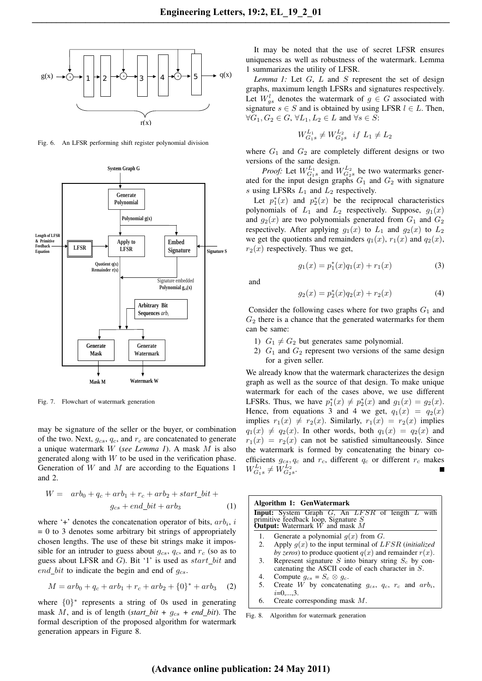

Fig. 6. An LFSR performing shift register polynomial division



Fig. 7. Flowchart of watermark generation

may be signature of the seller or the buyer, or combination of the two. Next,  $q_{cs}$ ,  $q_c$ , and  $r_c$  are concatenated to generate a unique watermark W (*see Lemma 1*). A mask M is also generated along with  $W$  to be used in the verification phase. Generation of  $W$  and  $M$  are according to the Equations 1 and 2.

$$
W = arb0 + qc + arb1 + rc + arb2 + start\_bit +gcs + end\_bit + arb3
$$
 (1)

where '+' denotes the concatenation operator of bits,  $arb<sub>i</sub>$ , i  $= 0$  to 3 denotes some arbitrary bit strings of appropriately chosen lengths. The use of these bit strings make it impossible for an intruder to guess about  $g_{cs}$ ,  $q_c$ , and  $r_c$  (so as to guess about LFSR and  $G$ ). Bit '1' is used as  $start\_bit$  and end\_bit to indicate the begin and end of  $g_{cs}$ .

$$
M = arb0 + qc + arb1 + rc + arb2 + {0}* + arb3 (2)
$$

where  $\{0\}^*$  represents a string of 0s used in generating mask M, and is of length (*start\_bit* +  $g_{cs}$  + end\_bit). The formal description of the proposed algorithm for watermark generation appears in Figure 8.

It may be noted that the use of secret LFSR ensures uniqueness as well as robustness of the watermark. Lemma 1 summarizes the utility of LFSR.

*Lemma 1:* Let G, L and S represent the set of design graphs, maximum length LFSRs and signatures respectively. Let  $W_{gs}^l$  denotes the watermark of  $g \in G$  associated with signature  $s \in S$  and is obtained by using LFSR  $l \in L$ . Then,  $\forall G_1, G_2 \in G, \forall L_1, L_2 \in L$  and  $\forall s \in S$ :

$$
W_{G_1s}^{L_1} \neq W_{G_2s}^{L_2} \text{ if } L_1 \neq L_2
$$

where  $G_1$  and  $G_2$  are completely different designs or two versions of the same design.

*Proof:* Let  $W_{G_1s}^{L_1}$  and  $W_{G_2s}^{L_2}$  be two watermarks generated for the input design graphs  $G_1$  and  $G_2$  with signature s using LFSRs  $L_1$  and  $L_2$  respectively.

Let  $p_1^*(x)$  and  $p_2^*(x)$  be the reciprocal characteristics polynomials of  $L_1$  and  $L_2$  respectively. Suppose,  $g_1(x)$ and  $g_2(x)$  are two polynomials generated from  $G_1$  and  $G_2$ respectively. After applying  $g_1(x)$  to  $L_1$  and  $g_2(x)$  to  $L_2$ we get the quotients and remainders  $q_1(x)$ ,  $r_1(x)$  and  $q_2(x)$ ,  $r_2(x)$  respectively. Thus we get,

$$
g_1(x) = p_1^*(x)q_1(x) + r_1(x)
$$
 (3)

and

$$
g_2(x) = p_2^*(x)q_2(x) + r_2(x)
$$
 (4)

Consider the following cases where for two graphs  $G_1$  and  $G_2$  there is a chance that the generated watermarks for them can be same:

- 1)  $G_1 \neq G_2$  but generates same polynomial.
- 2)  $G_1$  and  $G_2$  represent two versions of the same design for a given seller.

We already know that the watermark characterizes the design graph as well as the source of that design. To make unique watermark for each of the cases above, we use different LFSRs. Thus, we have  $p_1^*(x) \neq p_2^*(x)$  and  $g_1(x) = g_2(x)$ . Hence, from equations 3 and 4 we get,  $q_1(x) = q_2(x)$ implies  $r_1(x) \neq r_2(x)$ . Similarly,  $r_1(x) = r_2(x)$  implies  $q_1(x) \neq q_2(x)$ . In other words, both  $q_1(x) = q_2(x)$  and  $r_1(x) = r_2(x)$  can not be satisfied simultaneously. Since the watermark is formed by concatenating the binary coefficients  $g_{cs}, q_c$  and  $r_c$ , different  $q_c$  or different  $r_c$  makes  $W_{G_1s}^{L_1} \neq W_{G_2s}^{L_2}.$ 

| Algorithm 1: GenWatermark<br>Input: System Graph G, An LFSR of length L with<br>primitive feedback loop, Signature $S$<br><b>Output:</b> Watermark $W$ and mask $M$ |                                                                                                                        |  |  |  |
|---------------------------------------------------------------------------------------------------------------------------------------------------------------------|------------------------------------------------------------------------------------------------------------------------|--|--|--|
| Ι.                                                                                                                                                                  | Generate a polynomial $q(x)$ from G.                                                                                   |  |  |  |
| 2.                                                                                                                                                                  | Apply $q(x)$ to the input terminal of LFSR (initialized<br>by zeros) to produce quotient $q(x)$ and remainder $r(x)$ . |  |  |  |
| 3.                                                                                                                                                                  | Represent signature S into binary string $S_c$ by con-<br>catenating the ASCII code of each character in S.            |  |  |  |
| 4.                                                                                                                                                                  | Compute $q_{cs} = S_c \otimes q_c$ .                                                                                   |  |  |  |
| .5.                                                                                                                                                                 | Create W by concatenating $g_{cs}$ , $q_c$ , $r_c$ and $arb_i$ ,<br>$i=0,,3$ .                                         |  |  |  |
| 6.                                                                                                                                                                  | Create corresponding mask $M$ .                                                                                        |  |  |  |
| Fig. 8.                                                                                                                                                             | Algorithm for watermark generation                                                                                     |  |  |  |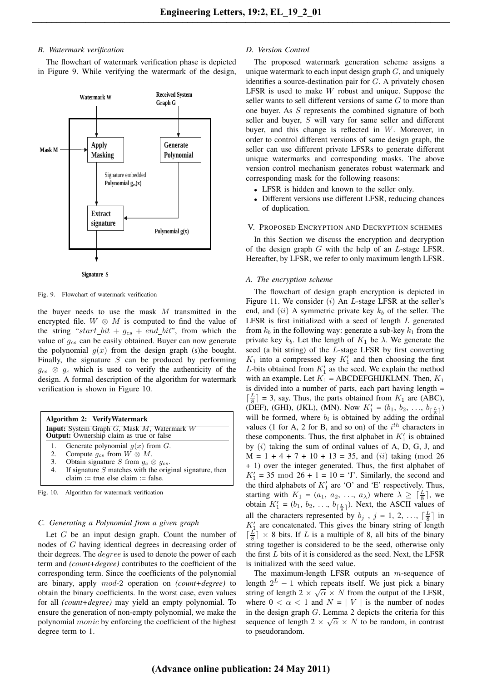# *B. Watermark verification*

The flowchart of watermark verification phase is depicted in Figure 9. While verifying the watermark of the design,





Fig. 9. Flowchart of watermark verification

the buyer needs to use the mask  $M$  transmitted in the encrypted file.  $W \otimes M$  is computed to find the value of the string "start\_bit +  $g_{cs}$  + end\_bit", from which the value of  $g_{cs}$  can be easily obtained. Buyer can now generate the polynomial  $g(x)$  from the design graph (s)he bought. Finally, the signature  $S$  can be produced by performing  $g_{cs} \otimes g_c$  which is used to verify the authenticity of the design. A formal description of the algorithm for watermark verification is shown in Figure 10.

| Algorithm 2: VerifyWatermark<br><b>Input:</b> System Graph G, Mask M, Watermark W<br>Output: Ownership claim as true or false |                                                                                                                                                                                                                                   |  |  |  |
|-------------------------------------------------------------------------------------------------------------------------------|-----------------------------------------------------------------------------------------------------------------------------------------------------------------------------------------------------------------------------------|--|--|--|
| 2.<br>3.<br>4.                                                                                                                | Generate polynomial $q(x)$ from G.<br>Compute $g_{cs}$ from $W \otimes M$ .<br>Obtain signature S from $g_c \otimes g_{cs}$ .<br>If signature $S$ matches with the original signature, then<br>claim := true else claim := false. |  |  |  |
| Fig. 10.                                                                                                                      | Algorithm for watermark verification                                                                                                                                                                                              |  |  |  |

# Let  $G$  be an input design graph. Count the number of nodes of G having identical degrees in decreasing order of their degrees. The *degree* is used to denote the power of each term and *(count+degree)* contributes to the coefficient of the corresponding term. Since the coefficients of the polynomial are binary, apply mod-2 operation on *(count+degree)* to obtain the binary coefficients. In the worst case, even values for all *(count+degree)* may yield an empty polynomial. To ensure the generation of non-empty polynomial, we make the polynomial monic by enforcing the coefficient of the highest degree term to 1.

*C. Generating a Polynomial from a given graph*

# *D. Version Control*

The proposed watermark generation scheme assigns a unique watermark to each input design graph  $G$ , and uniquely identifies a source-destination pair for G. A privately chosen LFSR is used to make W robust and unique. Suppose the seller wants to sell different versions of same  $G$  to more than one buyer. As S represents the combined signature of both seller and buyer, S will vary for same seller and different buyer, and this change is reflected in W. Moreover, in order to control different versions of same design graph, the seller can use different private LFSRs to generate different unique watermarks and corresponding masks. The above version control mechanism generates robust watermark and corresponding mask for the following reasons:

- LFSR is hidden and known to the seller only.
- Different versions use different LFSR, reducing chances of duplication.

#### V. PROPOSED ENCRYPTION AND DECRYPTION SCHEMES

In this Section we discuss the encryption and decryption of the design graph  $G$  with the help of an  $L$ -stage LFSR. Hereafter, by LFSR, we refer to only maximum length LFSR.

## *A. The encryption scheme*

The flowchart of design graph encryption is depicted in Figure 11. We consider  $(i)$  An *L*-stage LFSR at the seller's end, and  $(ii)$  A symmetric private key  $k_b$  of the seller. The LFSR is first initialized with a seed of length  $L$  generated from  $k_b$  in the following way: generate a sub-key  $k_1$  from the private key  $k_b$ . Let the length of  $K_1$  be  $\lambda$ . We generate the seed (a bit string) of the L-stage LFSR by first converting  $K_1$  into a compressed key  $K_1'$  and then choosing the first L-bits obtained from  $K_1'$  as the seed. We explain the method with an example. Let  $K_1$  = ABCDEFGHIJKLMN. Then,  $K_1$ is divided into a number of parts, each part having length =  $\lceil \frac{L}{8} \rceil$  = 3, say. Thus, the parts obtained from  $K_1$  are (ABC), (DEF), (GHI), (JKL), (MN). Now  $K'_1 = (b_1, b_2, ..., b_{\lceil \frac{L}{3} \rceil})$ will be formed, where  $b_i$  is obtained by adding the ordinal values (1 for A, 2 for B, and so on) of the  $i^{th}$  characters in these components. Thus, the first alphabet in  $K_1'$  is obtained by  $(i)$  taking the sum of ordinal values of A, D, G, J, and  $M = 1 + 4 + 7 + 10 + 13 = 35$ , and *(ii)* taking (mod 26) + 1) over the integer generated. Thus, the first alphabet of  $K_1' = 35 \mod 26 + 1 = 10 = 'J'.$  Similarly, the second and the third alphabets of  $K'_1$  are 'O' and 'E' respectively. Thus, starting with  $K_1 = (a_1, a_2, \ldots, a_\lambda)$  where  $\lambda \geq \lceil \frac{L}{8} \rceil$ , we obtain  $K'_1 = (b_1, b_2, \ldots, b_{\lceil \frac{L}{8} \rceil})$ . Next, the ASCII values of all the characters represented by  $b_j$ ,  $j = 1, 2, ..., \lceil \frac{L}{8} \rceil$  in  $K_1'$  are concatenated. This gives the binary string of length  $\lceil \frac{L}{8} \rceil \times 8$  bits. If L is a multiple of 8, all bits of the binary string together is considered to be the seed, otherwise only the first  $L$  bits of it is considered as the seed. Next, the LFSR is initialized with the seed value.

The maximum-length LFSR outputs an m-sequence of length  $2^L - 1$  which repeats itself. We just pick a binary string of length  $2 \times \sqrt{\alpha} \times N$  from the output of the LFSR, where  $0 < \alpha < 1$  and  $N = |V|$  is the number of nodes in the design graph  $G$ . Lemma 2 depicts the criteria for this sequence of length  $2 \times \sqrt{\alpha} \times N$  to be random, in contrast to pseudorandom.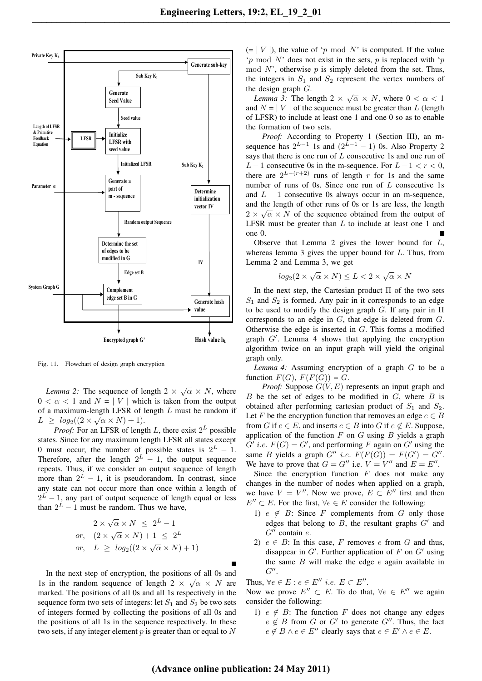

Fig. 11. Flowchart of design graph encryption

*Lemma 2:* The sequence of length  $2 \times \sqrt{\alpha} \times N$ , where  $0 < \alpha < 1$  and  $N = |V|$  which is taken from the output of a maximum-length LFSR of length L must be random if  $L \geq log_2((2 \times \sqrt{\alpha} \times N) + 1).$ 

*Proof:* For an LFSR of length  $L$ , there exist  $2^L$  possible states. Since for any maximum length LFSR all states except 0 must occur, the number of possible states is  $2^L - 1$ . Therefore, after the length  $2^L - 1$ , the output sequence repeats. Thus, if we consider an output sequence of length more than  $2^L - 1$ , it is pseudorandom. In contrast, since any state can not occur more than once within a length of  $2^L - 1$ , any part of output sequence of length equal or less than  $2^L - 1$  must be random. Thus we have,

$$
2 \times \sqrt{\alpha} \times N \le 2^{L} - 1
$$
  
or, 
$$
(2 \times \sqrt{\alpha} \times N) + 1 \le 2^{L}
$$
  
or, 
$$
L \ge \log_2((2 \times \sqrt{\alpha} \times N) + 1)
$$

In the next step of encryption, the positions of all 0s and 1s in the random sequence of length  $2 \times \sqrt{\alpha} \times N$  are marked. The positions of all 0s and all 1s respectively in the sequence form two sets of integers: let  $S_1$  and  $S_2$  be two sets of integers formed by collecting the positions of all 0s and the positions of all 1s in the sequence respectively. In these two sets, if any integer element  $p$  is greater than or equal to  $N$   $(= | V |)$ , the value of 'p mod N' is computed. If the value 'p mod N' does not exist in the sets, p is replaced with 'p mod  $N'$ , otherwise  $p$  is simply deleted from the set. Thus, the integers in  $S_1$  and  $S_2$  represent the vertex numbers of the design graph  $G$ .

*Lemma 3:* The length  $2 \times \sqrt{\alpha} \times N$ , where  $0 < \alpha < 1$ and  $N = |V|$  of the sequence must be greater than L (length of LFSR) to include at least one 1 and one 0 so as to enable the formation of two sets.

*Proof:* According to Property 1 (Section III), an msequence has  $2^{L-1}$  1s and  $(2^{L-1} - 1)$  0s. Also Property 2 says that there is one run of  $L$  consecutive 1s and one run of L − 1 consecutive 0s in the m-sequence. For  $L - 1 < r < 0$ , there are  $2^{L-(r+2)}$  runs of length r for 1s and the same number of runs of 0s. Since one run of  $L$  consecutive 1s and  $L - 1$  consecutive 0s always occur in an m-sequence, and the length of other runs of 0s or 1s are less, the length  $2 \times \sqrt{\alpha} \times N$  of the sequence obtained from the output of LFSR must be greater than  $L$  to include at least one 1 and one 0.

Observe that Lemma 2 gives the lower bound for  $L$ , whereas lemma 3 gives the upper bound for  $L$ . Thus, from Lemma 2 and Lemma 3, we get

$$
log_2(2 \times \sqrt{\alpha} \times N) \le L < 2 \times \sqrt{\alpha} \times N
$$

In the next step, the Cartesian product  $\Pi$  of the two sets  $S_1$  and  $S_2$  is formed. Any pair in it corresponds to an edge to be used to modify the design graph G. If any pair in  $\Pi$ corresponds to an edge in G, that edge is deleted from G. Otherwise the edge is inserted in G. This forms a modified graph  $G'$ . Lemma 4 shows that applying the encryption algorithm twice on an input graph will yield the original graph only.

*Lemma 4:* Assuming encryption of a graph G to be a function  $F(G)$ ,  $F(F(G)) = G$ .

*Proof:* Suppose  $G(V, E)$  represents an input graph and  $B$  be the set of edges to be modified in  $G$ , where  $B$  is obtained after performing cartesian product of  $S_1$  and  $S_2$ . Let F be the encryption function that removes an edge  $e \in B$ from G if  $e \in E$ , and inserts  $e \in B$  into G if  $e \notin E$ . Suppose, application of the function  $F$  on  $G$  using  $B$  yields a graph  $G'$  *i.e.*  $F(G) = G'$ , and performing F again on  $G'$  using the same B yields a graph  $G''$  i.e.  $F(F(G)) = F(G') = G''$ . We have to prove that  $G = G''$  i.e.  $V = V''$  and  $E = E''$ .

Since the encryption function  $F$  does not make any changes in the number of nodes when applied on a graph, we have  $V = V''$ . Now we prove,  $E \subset E''$  first and then  $E'' \subset E$ . For the first,  $\forall e \in E$  consider the following:

- 1)  $e \notin B$ : Since F complements from G only those edges that belong to  $B$ , the resultant graphs  $G'$  and  $G''$  contain  $e$ .
- 2)  $e \in B$ : In this case, F removes e from G and thus, disappear in  $G'$ . Further application of F on  $G'$  using the same  $B$  will make the edge  $e$  again available in  $G^{\prime\prime}$ .

Thus,  $\forall e \in E : e \in E''$  *i.e.*  $E \subset E''$ .

Now we prove  $E'' \subset E$ . To do that,  $\forall e \in E''$  we again consider the following:

1)  $e \notin B$ : The function F does not change any edges  $e \notin B$  from G or G' to generate G''. Thus, the fact  $e \notin B \land e \in E''$  clearly says that  $e \in E' \land e \in E$ .

# **(Advance online publication: 24 May 2011)**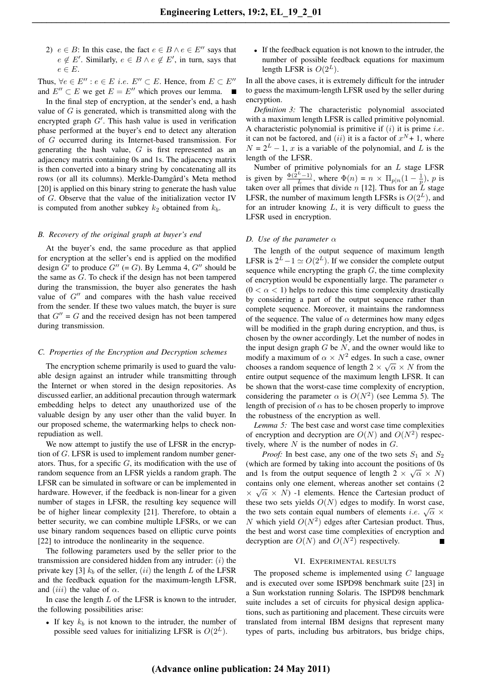2)  $e \in B$ : In this case, the fact  $e \in B \land e \in E''$  says that  $e \notin E'$ . Similarly,  $e \in B \land e \notin E'$ , in turn, says that  $e \in E$ .

Thus,  $\forall e \in E'': e \in E$  *i.e.*  $E'' \subset E$ . Hence, from  $E \subset E''$ and  $E'' \subset E$  we get  $E = E''$  which proves our lemma.

In the final step of encryption, at the sender's end, a hash value of  $G$  is generated, which is transmitted along with the encrypted graph  $G'$ . This hash value is used in verification phase performed at the buyer's end to detect any alteration of G occurred during its Internet-based transmission. For generating the hash value,  $G$  is first represented as an adjacency matrix containing 0s and 1s. The adjacency matrix is then converted into a binary string by concatenating all its rows (or all its columns). Merkle-Damgård's Meta method [20] is applied on this binary string to generate the hash value of G. Observe that the value of the initialization vector IV is computed from another subkey  $k_2$  obtained from  $k_b$ .

# *B. Recovery of the original graph at buyer's end*

At the buyer's end, the same procedure as that applied for encryption at the seller's end is applied on the modified design  $G'$  to produce  $G''$  (= G). By Lemma 4,  $G''$  should be the same as G. To check if the design has not been tampered during the transmission, the buyer also generates the hash value of  $G^{\prime\prime}$  and compares with the hash value received from the sender. If these two values match, the buyer is sure that  $G'' = G$  and the received design has not been tampered during transmission.

## *C. Properties of the Encryption and Decryption schemes*

The encryption scheme primarily is used to guard the valuable design against an intruder while transmitting through the Internet or when stored in the design repositories. As discussed earlier, an additional precaution through watermark embedding helps to detect any unauthorized use of the valuable design by any user other than the valid buyer. In our proposed scheme, the watermarking helps to check nonrepudiation as well.

We now attempt to justify the use of LFSR in the encryption of G. LFSR is used to implement random number generators. Thus, for a specific  $G$ , its modification with the use of random sequence from an LFSR yields a random graph. The LFSR can be simulated in software or can be implemented in hardware. However, if the feedback is non-linear for a given number of stages in LFSR, the resulting key sequence will be of higher linear complexity [21]. Therefore, to obtain a better security, we can combine multiple LFSRs, or we can use binary random sequences based on elliptic curve points [22] to introduce the nonlinearity in the sequence.

The following parameters used by the seller prior to the transmission are considered hidden from any intruder:  $(i)$  the private key [3]  $k_b$  of the seller, (ii) the length L of the LFSR and the feedback equation for the maximum-length LFSR, and (*iii*) the value of  $\alpha$ .

In case the length  $L$  of the LFSR is known to the intruder, the following possibilities arise:

• If key  $k_b$  is not known to the intruder, the number of possible seed values for initializing LFSR is  $O(2^L)$ .

• If the feedback equation is not known to the intruder, the number of possible feedback equations for maximum length LFSR is  $O(2^L)$ .

In all the above cases, it is extremely difficult for the intruder to guess the maximum-length LFSR used by the seller during encryption.

*Definition 3:* The characteristic polynomial associated with a maximum length LFSR is called primitive polynomial. A characteristic polynomial is primitive if  $(i)$  it is prime *i.e.* it can not be factored, and (*ii*) it is a factor of  $x^N + 1$ , where  $N = 2<sup>L</sup> - 1$ , x is a variable of the polynomial, and L is the length of the LFSR.

Number of primitive polynomials for an  $L$  stage LFSR is given by  $\frac{\Phi(\hat{2}^L - 1)}{L}$ , where  $\Phi(n) = n \times \Pi_{p|n}(1 - \frac{1}{p})$ , p is taken over all primes that divide n [12]. Thus for an  $\overline{L}$  stage LFSR, the number of maximum length LFSRs is  $O(2^L)$ , and for an intruder knowing  $L$ , it is very difficult to guess the LFSR used in encryption.

#### *D. Use of the parameter*  $\alpha$

The length of the output sequence of maximum length LFSR is  $2^L - 1 \simeq O(2^L)$ . If we consider the complete output sequence while encrypting the graph  $G$ , the time complexity of encryption would be exponentially large. The parameter  $\alpha$  $(0 < \alpha < 1)$  helps to reduce this time complexity drastically by considering a part of the output sequence rather than complete sequence. Moreover, it maintains the randomness of the sequence. The value of  $\alpha$  determines how many edges will be modified in the graph during encryption, and thus, is chosen by the owner accordingly. Let the number of nodes in the input design graph  $G$  be  $N$ , and the owner would like to modify a maximum of  $\alpha \times N^2$  edges. In such a case, owner chooses a random sequence of length  $2 \times \sqrt{\alpha} \times N$  from the entire output sequence of the maximum length LFSR. It can be shown that the worst-case time complexity of encryption, considering the parameter  $\alpha$  is  $O(N^2)$  (see Lemma 5). The length of precision of  $\alpha$  has to be chosen properly to improve the robustness of the encryption as well.

*Lemma 5:* The best case and worst case time complexities of encryption and decryption are  $O(N)$  and  $O(N^2)$  respectively, where  $N$  is the number of nodes in  $G$ .

*Proof:* In best case, any one of the two sets  $S_1$  and  $S_2$ (which are formed by taking into account the positions of 0s and 1s from the output sequence of length  $2 \times \sqrt{\alpha} \times N$ contains only one element, whereas another set contains (2 contains only one element, whereas another set contains (2<br> $\times \sqrt{\alpha} \times N$ ) -1 elements. Hence the Cartesian product of these two sets yields  $O(N)$  edges to modify. In worst case, these two sets yields  $O(N)$  edges to modify. In worst case,<br>the two sets contain equal numbers of elements *i.e.*  $\sqrt{\alpha} \times$ N which yield  $O(N^2)$  edges after Cartesian product. Thus, the best and worst case time complexities of encryption and decryption are  $O(N)$  and  $O(N^2)$  respectively.

#### VI. EXPERIMENTAL RESULTS

The proposed scheme is implemented using  $C$  language and is executed over some ISPD98 benchmark suite [23] in a Sun workstation running Solaris. The ISPD98 benchmark suite includes a set of circuits for physical design applications, such as partitioning and placement. These circuits were translated from internal IBM designs that represent many types of parts, including bus arbitrators, bus bridge chips,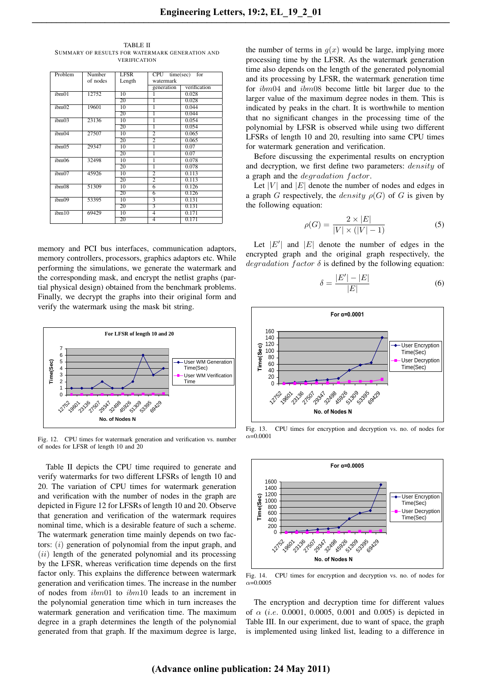| Problem           | Number   | <b>LFSR</b>     | $CPU$ time(sec)<br>for  |              |  |  |
|-------------------|----------|-----------------|-------------------------|--------------|--|--|
|                   | of nodes | Length          | watermark               |              |  |  |
|                   |          |                 | generation              | verification |  |  |
| ibm01             | 12752    | 10              | 1                       | 0.028        |  |  |
|                   |          | 20              | ī                       | 0.028        |  |  |
| ibm()2            | 19601    | 10              | ī                       | 0.044        |  |  |
|                   |          | 20              | 1                       | 0.044        |  |  |
| ibm <sub>03</sub> | 23136    | 10              | 1                       | 0.054        |  |  |
|                   |          | 20              | ī                       | 0.054        |  |  |
| ibm04             | 27507    | 10              | $\overline{2}$          | 0.065        |  |  |
|                   |          | 20              | 2                       | 0.065        |  |  |
| ibm05             | 29347    | 10              | 1                       | 0.07         |  |  |
|                   |          | 20              | ī                       | 0.07         |  |  |
| ibm06             | 32498    | 10              | 1                       | 0.078        |  |  |
|                   |          | 20              | 1                       | 0.078        |  |  |
| ibm07             | 45926    | 10              | $\overline{2}$          | 0.113        |  |  |
|                   |          | 20              | $\overline{2}$          | 0.113        |  |  |
| ibm08             | 51309    | 10              | 6                       | 0.126        |  |  |
|                   |          | 20              | 6                       | 0.126        |  |  |
| ibm09             | 53395    | $\overline{10}$ | 3                       | 0.131        |  |  |
|                   |          | 20              | $\overline{\mathbf{3}}$ | 0.131        |  |  |
| ibm10             | 69429    | 10              | $\overline{4}$          | 0.171        |  |  |
|                   |          | 20              | $\overline{4}$          | 0.171        |  |  |

TABLE II SUMMARY OF RESULTS FOR WATERMARK GENERATION AND VERIFICATION

memory and PCI bus interfaces, communication adaptors, memory controllers, processors, graphics adaptors etc. While performing the simulations, we generate the watermark and the corresponding mask, and encrypt the netlist graphs (partial physical design) obtained from the benchmark problems. Finally, we decrypt the graphs into their original form and verify the watermark using the mask bit string.



Fig. 12. CPU times for watermark generation and verification vs. number of nodes for LFSR of length 10 and 20

Table II depicts the CPU time required to generate and verify watermarks for two different LFSRs of length 10 and 20. The variation of CPU times for watermark generation and verification with the number of nodes in the graph are depicted in Figure 12 for LFSRs of length 10 and 20. Observe that generation and verification of the watermark requires nominal time, which is a desirable feature of such a scheme. The watermark generation time mainly depends on two factors:  $(i)$  generation of polynomial from the input graph, and  $(ii)$  length of the generated polynomial and its processing by the LFSR, whereas verification time depends on the first factor only. This explains the difference between watermark generation and verification times. The increase in the number of nodes from ibm01 to ibm10 leads to an increment in the polynomial generation time which in turn increases the watermark generation and verification time. The maximum degree in a graph determines the length of the polynomial generated from that graph. If the maximum degree is large,

the number of terms in  $g(x)$  would be large, implying more processing time by the LFSR. As the watermark generation time also depends on the length of the generated polynomial and its processing by LFSR, the watermark generation time for ibm04 and ibm08 become little bit larger due to the larger value of the maximum degree nodes in them. This is indicated by peaks in the chart. It is worthwhile to mention that no significant changes in the processing time of the polynomial by LFSR is observed while using two different LFSRs of length 10 and 20, resulting into same CPU times for watermark generation and verification.

Before discussing the experimental results on encryption and decryption, we first define two parameters: density of a graph and the *degradation factor*.

Let |V| and  $|E|$  denote the number of nodes and edges in a graph G respectively, the *density*  $\rho(G)$  of G is given by the following equation:

$$
\rho(G) = \frac{2 \times |E|}{|V| \times (|V| - 1)}\tag{5}
$$

Let  $|E'|$  and  $|E|$  denote the number of edges in the encrypted graph and the original graph respectively, the degradation factor  $\delta$  is defined by the following equation:

$$
\delta = \frac{|E'| - |E|}{|E|} \tag{6}
$$



Fig. 13. CPU times for encryption and decryption vs. no. of nodes for  $\alpha = 0.0001$ 



Fig. 14. CPU times for encryption and decryption vs. no. of nodes for  $\alpha = 0.0005$ 

The encryption and decryption time for different values of  $\alpha$  (i.e. 0.0001, 0.0005, 0.001 and 0.005) is depicted in Table III. In our experiment, due to want of space, the graph is implemented using linked list, leading to a difference in

# **(Advance online publication: 24 May 2011)**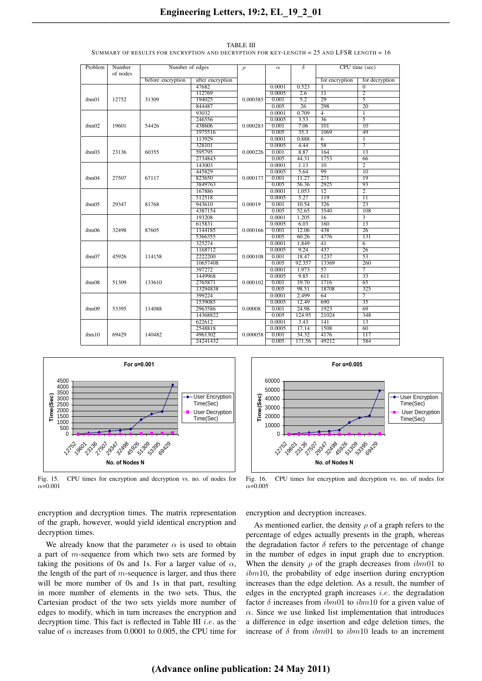| Problem           | Number<br>of nodes | Number of edges   |                  | $\rho$   | $\alpha$ | $\delta$        | CPU time (sec)  |                   |
|-------------------|--------------------|-------------------|------------------|----------|----------|-----------------|-----------------|-------------------|
|                   |                    | before encryption | after encryption |          |          |                 | for encryption  | for decryption    |
|                   |                    |                   | 47682            |          | 0.0001   | 0.523           | $\mathbf{1}$    | $\Omega$          |
|                   |                    |                   | 112769           |          | 0.0005   | 2.6             | $\overline{11}$ | $\overline{2}$    |
| ibm01             | 12752              | 31309             | 194025           | 0.000385 | 0.001    | 5.2             | 29              | $\overline{5}$    |
|                   |                    |                   | 844487           |          | 0.005    | $\overline{26}$ | 298             | $\overline{20}$   |
|                   |                    |                   | 93032            |          | 0.0001   | 0.709           | 4               | $\mathbf{1}$      |
|                   |                    |                   | 246556           |          | 0.0005   | 3.53            | $\overline{36}$ | $\overline{5}$    |
| ibm <sub>02</sub> | 19601              | 54426             | 438606           | 0.000283 | 0.001    | 7.06            | 101             | $\overline{10}$   |
|                   |                    |                   | 1975516          |          | 0.005    | 35.3            | 1069            | 49                |
|                   |                    |                   | 113929           |          | 0.0001   | 0.888           | 6               | $\overline{1}$    |
|                   |                    |                   | 328101           |          | 0.0005   | 4.44            | 58              | $\overline{\tau}$ |
| ibm03             | 23136              | 60355             | 595795           | 0.000226 | 0.001    | 8.87            | 164             | $\overline{13}$   |
|                   |                    |                   | 2734843          |          | 0.005    | 44.31           | 1753            | 66                |
|                   |                    |                   | 143003           |          | 0.0001   | 1.13            | $\overline{10}$ | $\overline{2}$    |
|                   |                    |                   | 445829           |          | 0.0005   | 5.64            | 99              | $\overline{10}$   |
| ibm04             | 27507              | 67117             | 823650           | 0.000177 | 0.001    | 11.27           | 271             | 19                |
|                   |                    |                   | 3849763          |          | 0.005    | 56.36           | 2925            | 93                |
|                   |                    |                   | 167886           |          | 0.0001   | 1.053           | $\overline{12}$ | $\overline{2}$    |
|                   |                    |                   | 512518           |          | 0.0005   | 5.27            | 119             | $\overline{11}$   |
| ibm05             | 29347              | 81768             | 943610           | 0.00019  | 0.001    | 10.54           | 326             | 23                |
|                   |                    |                   | 4387154          |          | 0.005    | 52.65           | 3540            | 108               |
|                   |                    |                   | 193208           |          | 0.0001   | 1.205           | $\overline{16}$ | $\overline{3}$    |
|                   |                    |                   | 615831           |          | 0.0005   | 6.03            | 160             | $\overline{13}$   |
| ibm06             | 32498              | 87605             | 1144185          | 0.000166 | 0.001    | 12.06           | 438             | $\overline{26}$   |
|                   |                    |                   | 5366355          |          | 0.005    | 60.26           | 4776            | 131               |
|                   |                    |                   | 325274           |          | 0.0001   | 1.849           | $\overline{41}$ | 6                 |
|                   |                    |                   | 1168712          |          | 0.0005   | 9.24            | 437             | 26                |
| ibm07             | 45926              | 114158            | 2222200          | 0.000108 | 0.001    | 18.47           | 1237            | $\overline{53}$   |
|                   |                    |                   | 10657408         |          | 0.005    | 92.357          | 13369           | 260               |
|                   |                    |                   | 397272           |          | 0.0001   | 1.973           | $\overline{57}$ | $\overline{7}$    |
|                   |                    |                   | 1449968          |          | 0.0005   | 9.85            | 611             | 33                |
| ibm08             | 51309              | 133610            | 2765871          | 0.000102 | 0.001    | 19.70           | 1716            | 65                |
|                   |                    |                   | 13294838         |          | 0.005    | 98.51           | 18708           | 325               |
|                   | 53395              | 114088            | 399224           | 0.00008  | 0.0001   | 2.499           | $\overline{64}$ | $\overline{7}$    |
|                   |                    |                   | 1539085          |          | 0.0005   | 12.49           | 690             | $\overline{35}$   |
| ibm09             |                    |                   | 2963586          |          | 0.001    | 24.98           | 1923            | 69                |
|                   |                    |                   | 14368822         |          | 0.005    | 124.95          | 21024           | 348               |
|                   |                    |                   | 622612           |          | 0.0001   | 3.43            | 141             | 13                |
|                   | 69429              | 140482            | 2548818          |          | 0.0005   | 17.14           | 1508            | 60                |
| ibm10             |                    |                   | 4961302          | 0.000058 | 0.001    | 34.32           | 4176            | 117               |
|                   |                    |                   | 24241432         |          | 0.005    | 171.56          | 49212           | 584               |

TABLE III SUMMARY OF RESULTS FOR ENCRYPTION AND DECRYPTION FOR KEY-LENGTH = 25 AND LFSR LENGTH = 16



Fig. 15. CPU times for encryption and decryption vs. no. of nodes for  $\alpha$ =0.001

encryption and decryption times. The matrix representation of the graph, however, would yield identical encryption and decryption times.

We already know that the parameter  $\alpha$  is used to obtain a part of m-sequence from which two sets are formed by taking the positions of 0s and 1s. For a larger value of  $\alpha$ , the length of the part of  $m$ -sequence is larger, and thus there will be more number of 0s and 1s in that part, resulting in more number of elements in the two sets. Thus, the Cartesian product of the two sets yields more number of edges to modify, which in turn increases the encryption and decryption time. This fact is reflected in Table III  $i.e.$  as the value of  $\alpha$  increases from 0.0001 to 0.005, the CPU time for



Fig. 16. CPU times for encryption and decryption vs. no. of nodes for  $\alpha$ =0.005

encryption and decryption increases.

As mentioned earlier, the density  $\rho$  of a graph refers to the percentage of edges actually presents in the graph, whereas the degradation factor  $\delta$  refers to the percentage of change in the number of edges in input graph due to encryption. When the density  $\rho$  of the graph decreases from  $ibm01$  to ibm10, the probability of edge insertion during encryption increases than the edge deletion. As a result, the number of edges in the encrypted graph increases *i.e.* the degradation factor  $\delta$  increases from  $ibm01$  to  $ibm10$  for a given value of  $\alpha$ . Since we use linked list implementation that introduces a difference in edge insertion and edge deletion times, the increase of  $\delta$  from  $ibm01$  to  $ibm10$  leads to an increment